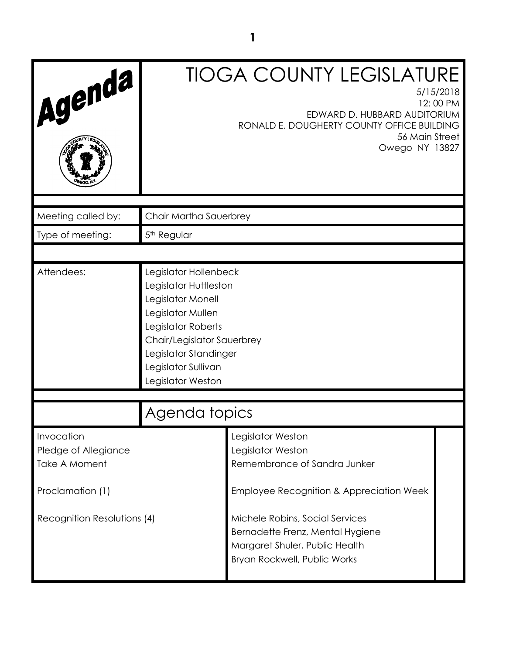| Agenda                                                     |                                                                                                                                                                                                                   | <b>TIOGA COUNTY LEGISLATURE</b><br>EDWARD D. HUBBARD AUDITORIUM<br>RONALD E. DOUGHERTY COUNTY OFFICE BUILDING<br>56 Main Street<br>Owego NY 13827 | 5/15/2018<br>12:00 PM |
|------------------------------------------------------------|-------------------------------------------------------------------------------------------------------------------------------------------------------------------------------------------------------------------|---------------------------------------------------------------------------------------------------------------------------------------------------|-----------------------|
| Meeting called by:                                         | Chair Martha Sauerbrey                                                                                                                                                                                            |                                                                                                                                                   |                       |
| Type of meeting:                                           | 5 <sup>th</sup> Regular                                                                                                                                                                                           |                                                                                                                                                   |                       |
|                                                            |                                                                                                                                                                                                                   |                                                                                                                                                   |                       |
| Attendees:                                                 | Legislator Hollenbeck<br>Legislator Huttleston<br>Legislator Monell<br>Legislator Mullen<br>Legislator Roberts<br>Chair/Legislator Sauerbrey<br>Legislator Standinger<br>Legislator Sullivan<br>Legislator Weston |                                                                                                                                                   |                       |
|                                                            | Agenda topics                                                                                                                                                                                                     |                                                                                                                                                   |                       |
| Invocation<br>Pledge of Allegiance<br><b>Take A Moment</b> |                                                                                                                                                                                                                   | Legislator Weston<br>Legislator Weston<br>Remembrance of Sandra Junker                                                                            |                       |
| Proclamation (1)                                           |                                                                                                                                                                                                                   | Employee Recognition & Appreciation Week                                                                                                          |                       |
| Recognition Resolutions (4)                                |                                                                                                                                                                                                                   | Michele Robins, Social Services<br>Bernadette Frenz, Mental Hygiene<br>Margaret Shuler, Public Health<br>Bryan Rockwell, Public Works             |                       |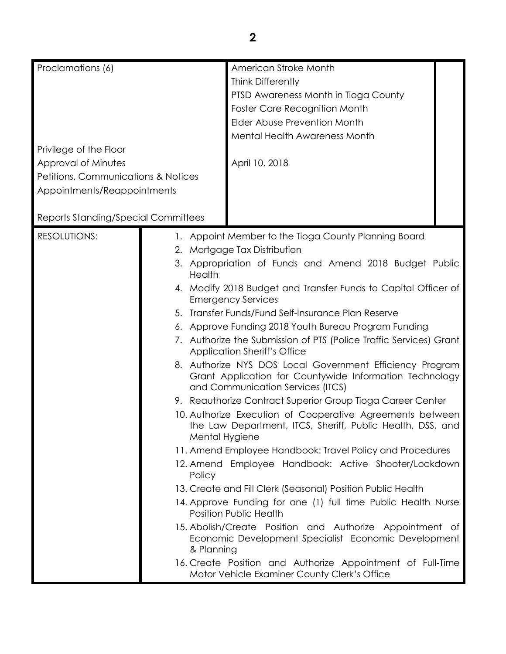| Proclamations (6)                                                                                                   |                                                                                                                                                                                                                                                                                                                                                                                                                                                                                                                                                                                                                                                                                                                                                                                                                                                                                                                                                                                                                                                                                                                                                                                                                                                                                                                                                                                                           | American Stroke Month<br><b>Think Differently</b><br>PTSD Awareness Month in Tioga County<br><b>Foster Care Recognition Month</b><br>Elder Abuse Prevention Month |  |
|---------------------------------------------------------------------------------------------------------------------|-----------------------------------------------------------------------------------------------------------------------------------------------------------------------------------------------------------------------------------------------------------------------------------------------------------------------------------------------------------------------------------------------------------------------------------------------------------------------------------------------------------------------------------------------------------------------------------------------------------------------------------------------------------------------------------------------------------------------------------------------------------------------------------------------------------------------------------------------------------------------------------------------------------------------------------------------------------------------------------------------------------------------------------------------------------------------------------------------------------------------------------------------------------------------------------------------------------------------------------------------------------------------------------------------------------------------------------------------------------------------------------------------------------|-------------------------------------------------------------------------------------------------------------------------------------------------------------------|--|
| Privilege of the Floor<br>Approval of Minutes<br>Petitions, Communications & Notices<br>Appointments/Reappointments |                                                                                                                                                                                                                                                                                                                                                                                                                                                                                                                                                                                                                                                                                                                                                                                                                                                                                                                                                                                                                                                                                                                                                                                                                                                                                                                                                                                                           | <b>Mental Health Awareness Month</b><br>April 10, 2018                                                                                                            |  |
| Reports Standing/Special Committees                                                                                 |                                                                                                                                                                                                                                                                                                                                                                                                                                                                                                                                                                                                                                                                                                                                                                                                                                                                                                                                                                                                                                                                                                                                                                                                                                                                                                                                                                                                           |                                                                                                                                                                   |  |
| <b>RESOLUTIONS:</b>                                                                                                 | 1. Appoint Member to the Tioga County Planning Board<br>2. Mortgage Tax Distribution<br>3. Appropriation of Funds and Amend 2018 Budget Public<br>Health<br>4. Modify 2018 Budget and Transfer Funds to Capital Officer of<br><b>Emergency Services</b><br>5. Transfer Funds/Fund Self-Insurance Plan Reserve<br>6. Approve Funding 2018 Youth Bureau Program Funding<br>7. Authorize the Submission of PTS (Police Traffic Services) Grant<br><b>Application Sheriff's Office</b><br>8. Authorize NYS DOS Local Government Efficiency Program<br>Grant Application for Countywide Information Technology<br>and Communication Services (ITCS)<br>9. Reauthorize Contract Superior Group Tioga Career Center<br>10. Authorize Execution of Cooperative Agreements between<br>the Law Department, ITCS, Sheriff, Public Health, DSS, and<br>Mental Hygiene<br>11. Amend Employee Handbook: Travel Policy and Procedures<br>12. Amend Employee Handbook: Active Shooter/Lockdown<br>Policy<br>13. Create and Fill Clerk (Seasonal) Position Public Health<br>14. Approve Funding for one (1) full time Public Health Nurse<br><b>Position Public Health</b><br>15. Abolish/Create Position and Authorize Appointment of<br>Economic Development Specialist Economic Development<br>& Planning<br>16. Create Position and Authorize Appointment of Full-Time<br>Motor Vehicle Examiner County Clerk's Office |                                                                                                                                                                   |  |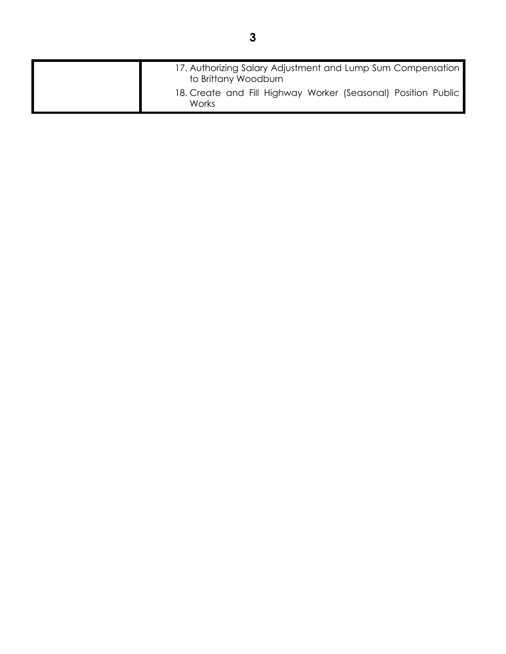| 17. Authorizing Salary Adjustment and Lump Sum Compensation   |
|---------------------------------------------------------------|
| to Brittany Woodburn                                          |
| 18. Create and Fill Highway Worker (Seasonal) Position Public |
| <b>Works</b>                                                  |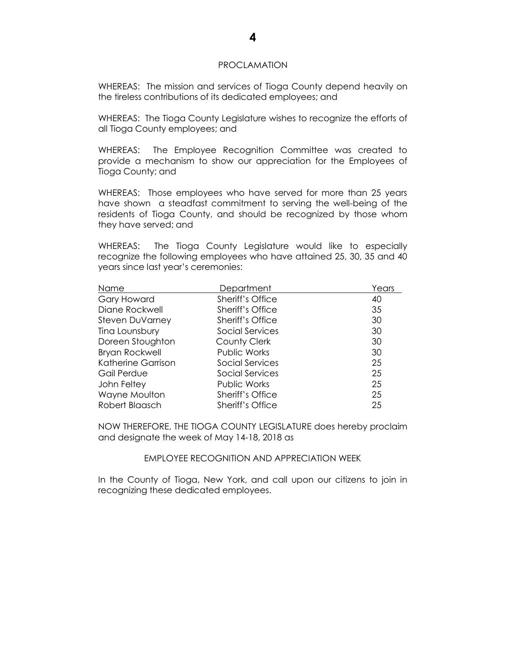#### PROCLAMATION

WHEREAS: The mission and services of Tioga County depend heavily on the tireless contributions of its dedicated employees; and

WHEREAS: The Tioga County Legislature wishes to recognize the efforts of all Tioga County employees; and

WHEREAS: The Employee Recognition Committee was created to provide a mechanism to show our appreciation for the Employees of Tioga County; and

WHEREAS: Those employees who have served for more than 25 years have shown a steadfast commitment to serving the well-being of the residents of Tioga County, and should be recognized by those whom they have served; and

WHEREAS: The Tioga County Legislature would like to especially recognize the following employees who have attained 25, 30, 35 and 40 years since last year's ceremonies:

| Name                   | Department              | Years |
|------------------------|-------------------------|-------|
| <b>Gary Howard</b>     | Sheriff's Office        | 40    |
| Diane Rockwell         | Sheriff's Office        | 35    |
| <b>Steven DuVarney</b> | <b>Sheriff's Office</b> | 30    |
| Tina Lounsbury         | Social Services         | 30    |
| Doreen Stoughton       | County Clerk            | 30    |
| <b>Bryan Rockwell</b>  | Public Works            | 30    |
| Katherine Garrison     | Social Services         | 25    |
| Gail Perdue            | Social Services         | 25    |
| John Feltey            | Public Works            | 25    |
| Wayne Moulton          | Sheriff's Office        | 25    |
| Robert Blaasch         | <b>Sheriff's Office</b> | 25    |

NOW THEREFORE, THE TIOGA COUNTY LEGISLATURE does hereby proclaim and designate the week of May 14-18, 2018 as

#### EMPLOYEE RECOGNITION AND APPRECIATION WEEK

In the County of Tioga, New York, and call upon our citizens to join in recognizing these dedicated employees.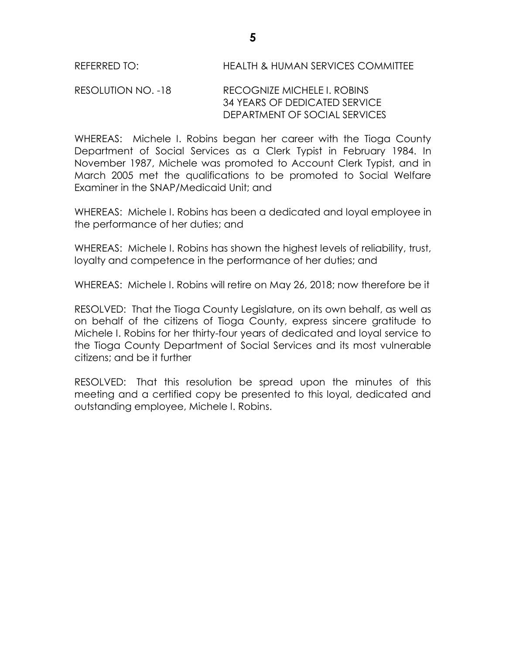# RESOLUTION NO. -18 RECOGNIZE MICHELE I. ROBINS 34 YEARS OF DEDICATED SERVICE DEPARTMENT OF SOCIAL SERVICES

WHEREAS: Michele I. Robins began her career with the Tioga County Department of Social Services as a Clerk Typist in February 1984. In November 1987, Michele was promoted to Account Clerk Typist, and in March 2005 met the qualifications to be promoted to Social Welfare Examiner in the SNAP/Medicaid Unit; and

WHEREAS: Michele I. Robins has been a dedicated and loyal employee in the performance of her duties; and

WHEREAS: Michele I. Robins has shown the highest levels of reliability, trust, loyalty and competence in the performance of her duties; and

WHEREAS: Michele I. Robins will retire on May 26, 2018; now therefore be it

RESOLVED:That the Tioga County Legislature, on its own behalf, as well as on behalf of the citizens of Tioga County, express sincere gratitude to Michele I. Robins for her thirty-four years of dedicated and loyal service to the Tioga County Department of Social Services and its most vulnerable citizens; and be it further

RESOLVED: That this resolution be spread upon the minutes of this meeting and a certified copy be presented to this loyal, dedicated and outstanding employee, Michele I. Robins.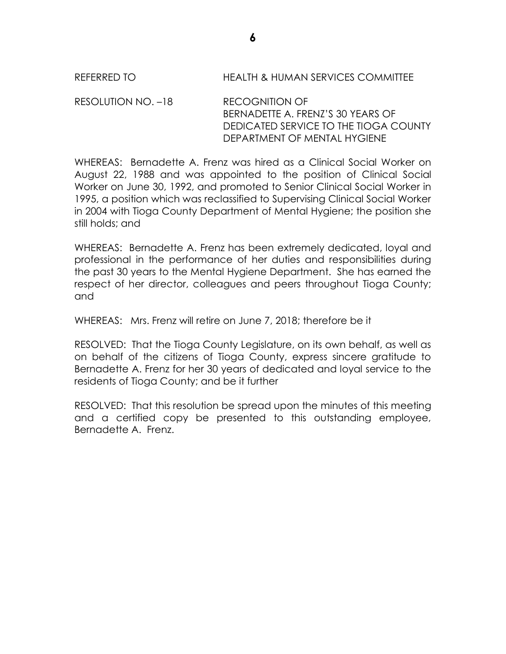REFERRED TO HEALTH & HUMAN SERVICES COMMITTEE

RESOLUTION NO. –18 RECOGNITION OF BERNADETTE A. FRENZ'S 30 YEARS OF DEDICATED SERVICE TO THE TIOGA COUNTY DEPARTMENT OF MENTAL HYGIENE

WHEREAS: Bernadette A. Frenz was hired as a Clinical Social Worker on August 22, 1988 and was appointed to the position of Clinical Social Worker on June 30, 1992, and promoted to Senior Clinical Social Worker in 1995, a position which was reclassified to Supervising Clinical Social Worker in 2004 with Tioga County Department of Mental Hygiene; the position she still holds; and

WHEREAS: Bernadette A. Frenz has been extremely dedicated, loyal and professional in the performance of her duties and responsibilities during the past 30 years to the Mental Hygiene Department. She has earned the respect of her director, colleagues and peers throughout Tioga County; and

WHEREAS: Mrs. Frenz will retire on June 7, 2018; therefore be it

RESOLVED: That the Tioga County Legislature, on its own behalf, as well as on behalf of the citizens of Tioga County, express sincere gratitude to Bernadette A. Frenz for her 30 years of dedicated and loyal service to the residents of Tioga County; and be it further

RESOLVED: That this resolution be spread upon the minutes of this meeting and a certified copy be presented to this outstanding employee, Bernadette A. Frenz.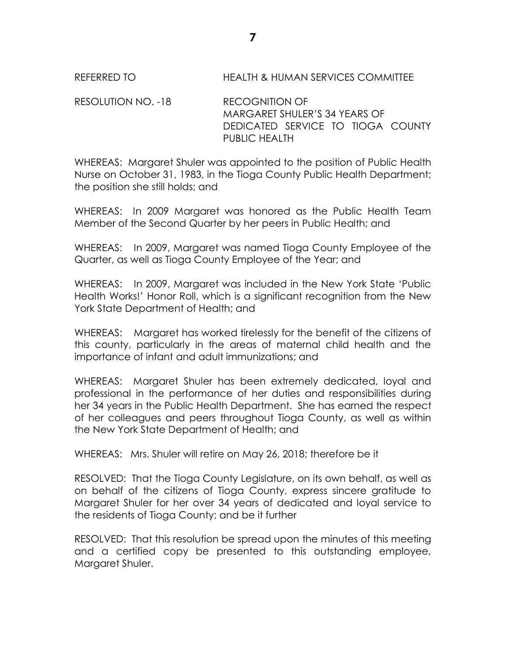RESOLUTION NO. -18 RECOGNITION OF MARGARET SHULER'S 34 YEARS OF DEDICATED SERVICE TO TIOGA COUNTY PUBLIC HEALTH

WHEREAS: Margaret Shuler was appointed to the position of Public Health Nurse on October 31, 1983, in the Tioga County Public Health Department; the position she still holds; and

WHEREAS: In 2009 Margaret was honored as the Public Health Team Member of the Second Quarter by her peers in Public Health; and

WHEREAS: In 2009, Margaret was named Tioga County Employee of the Quarter, as well as Tioga County Employee of the Year; and

WHEREAS: In 2009, Margaret was included in the New York State 'Public Health Works!' Honor Roll, which is a significant recognition from the New York State Department of Health; and

WHEREAS: Margaret has worked tirelessly for the benefit of the citizens of this county, particularly in the areas of maternal child health and the importance of infant and adult immunizations; and

WHEREAS: Margaret Shuler has been extremely dedicated, loyal and professional in the performance of her duties and responsibilities during her 34 years in the Public Health Department. She has earned the respect of her colleagues and peers throughout Tioga County, as well as within the New York State Department of Health; and

WHEREAS: Mrs. Shuler will retire on May 26, 2018; therefore be it

RESOLVED: That the Tioga County Legislature, on its own behalf, as well as on behalf of the citizens of Tioga County, express sincere gratitude to Margaret Shuler for her over 34 years of dedicated and loyal service to the residents of Tioga County; and be it further

RESOLVED: That this resolution be spread upon the minutes of this meeting and a certified copy be presented to this outstanding employee, Margaret Shuler.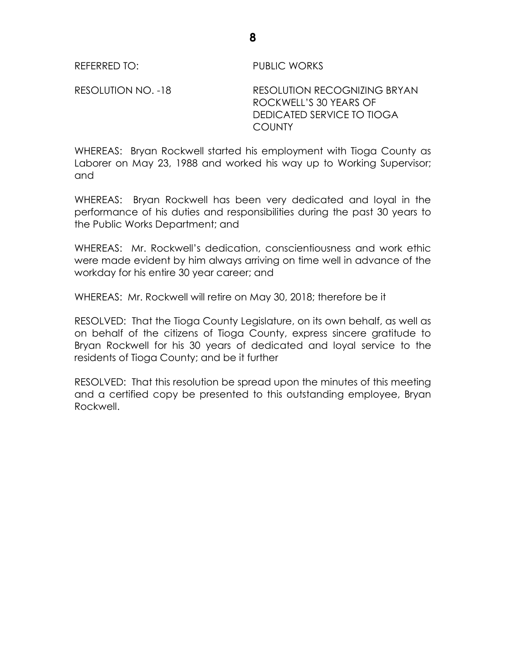REFERRED TO: PUBLIC WORKS

RESOLUTION NO. -18 RESOLUTION RECOGNIZING BRYAN ROCKWELL'S 30 YEARS OF DEDICATED SERVICE TO TIOGA **COUNTY** 

WHEREAS: Bryan Rockwell started his employment with Tioga County as Laborer on May 23, 1988 and worked his way up to Working Supervisor; and

WHEREAS: Bryan Rockwell has been very dedicated and loyal in the performance of his duties and responsibilities during the past 30 years to the Public Works Department; and

WHEREAS: Mr. Rockwell's dedication, conscientiousness and work ethic were made evident by him always arriving on time well in advance of the workday for his entire 30 year career; and

WHEREAS: Mr. Rockwell will retire on May 30, 2018; therefore be it

RESOLVED: That the Tioga County Legislature, on its own behalf, as well as on behalf of the citizens of Tioga County, express sincere gratitude to Bryan Rockwell for his 30 years of dedicated and loyal service to the residents of Tioga County; and be it further

RESOLVED: That this resolution be spread upon the minutes of this meeting and a certified copy be presented to this outstanding employee, Bryan Rockwell.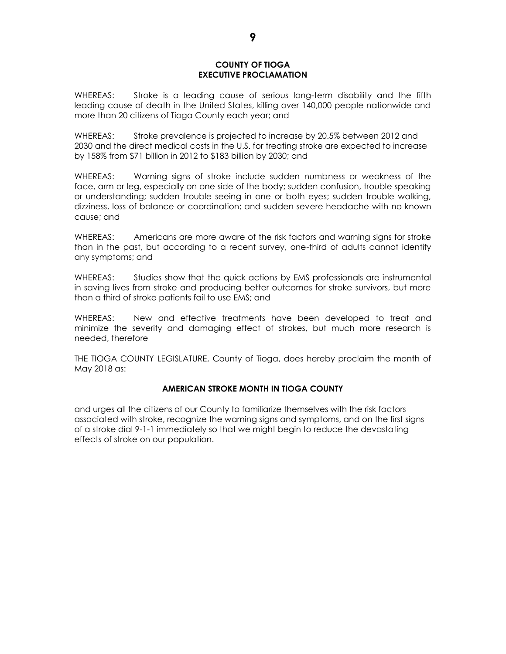#### **COUNTY OF TIOGA EXECUTIVE PROCLAMATION**

WHEREAS: Stroke is a leading cause of serious long-term disability and the fifth leading cause of death in the United States, killing over 140,000 people nationwide and more than 20 citizens of Tioga County each year; and

WHEREAS: Stroke prevalence is projected to increase by 20.5% between 2012 and 2030 and the direct medical costs in the U.S. for treating stroke are expected to increase by 158% from \$71 billion in 2012 to \$183 billion by 2030; and

WHEREAS: Warning signs of stroke include sudden numbness or weakness of the face, arm or leg, especially on one side of the body; sudden confusion, trouble speaking or understanding; sudden trouble seeing in one or both eyes; sudden trouble walking, dizziness, loss of balance or coordination; and sudden severe headache with no known cause; and

WHEREAS: Americans are more aware of the risk factors and warning signs for stroke than in the past, but according to a recent survey, one-third of adults cannot identify any symptoms; and

WHEREAS: Studies show that the quick actions by EMS professionals are instrumental in saving lives from stroke and producing better outcomes for stroke survivors, but more than a third of stroke patients fail to use EMS; and

WHEREAS: New and effective treatments have been developed to treat and minimize the severity and damaging effect of strokes, but much more research is needed, therefore

THE TIOGA COUNTY LEGISLATURE, County of Tioga, does hereby proclaim the month of May 2018 as:

### **AMERICAN STROKE MONTH IN TIOGA COUNTY**

and urges all the citizens of our County to familiarize themselves with the risk factors associated with stroke, recognize the warning signs and symptoms, and on the first signs of a stroke dial 9-1-1 immediately so that we might begin to reduce the devastating effects of stroke on our population.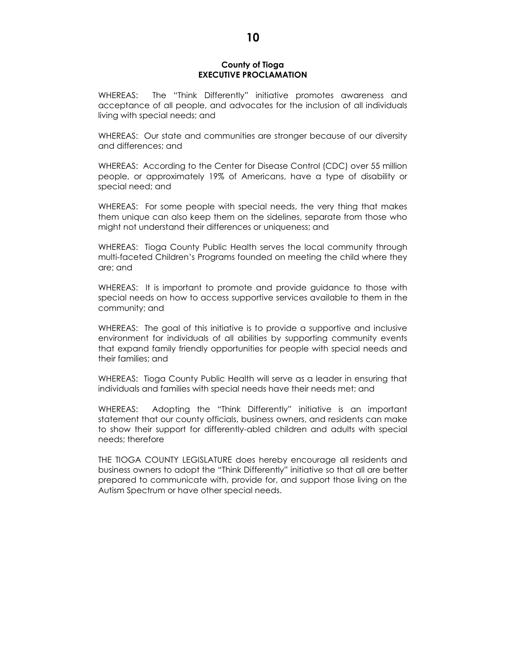#### **County of Tioga EXECUTIVE PROCLAMATION**

WHEREAS: The "Think Differently" initiative promotes awareness and acceptance of all people, and advocates for the inclusion of all individuals living with special needs; and

WHEREAS: Our state and communities are stronger because of our diversity and differences; and

WHEREAS: According to the Center for Disease Control (CDC) over 55 million people, or approximately 19% of Americans, have a type of disability or special need; and

WHEREAS: For some people with special needs, the very thing that makes them unique can also keep them on the sidelines, separate from those who might not understand their differences or uniqueness; and

WHEREAS: Tioga County Public Health serves the local community through multi-faceted Children's Programs founded on meeting the child where they are; and

WHEREAS: It is important to promote and provide guidance to those with special needs on how to access supportive services available to them in the community; and

WHEREAS: The goal of this initiative is to provide a supportive and inclusive environment for individuals of all abilities by supporting community events that expand family friendly opportunities for people with special needs and their families; and

WHEREAS: Tioga County Public Health will serve as a leader in ensuring that individuals and families with special needs have their needs met; and

WHEREAS: Adopting the "Think Differently" initiative is an important statement that our county officials, business owners, and residents can make to show their support for differently-abled children and adults with special needs; therefore

THE TIOGA COUNTY LEGISLATURE does hereby encourage all residents and business owners to adopt the "Think Differently" initiative so that all are better prepared to communicate with, provide for, and support those living on the Autism Spectrum or have other special needs.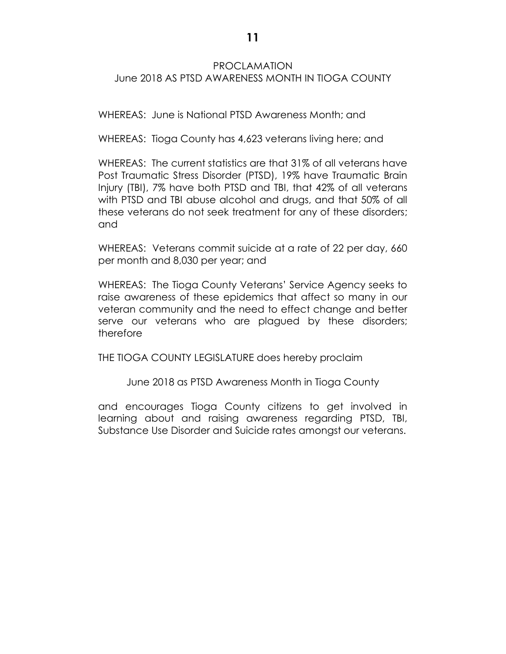# PROCLAMATION June 2018 AS PTSD AWARENESS MONTH IN TIOGA COUNTY

WHEREAS: June is National PTSD Awareness Month; and

WHEREAS: Tioga County has 4,623 veterans living here; and

WHEREAS: The current statistics are that 31% of all veterans have Post Traumatic Stress Disorder (PTSD), 19% have Traumatic Brain Injury (TBI), 7% have both PTSD and TBI, that 42% of all veterans with PTSD and TBI abuse alcohol and drugs, and that 50% of all these veterans do not seek treatment for any of these disorders; and

WHEREAS: Veterans commit suicide at a rate of 22 per day, 660 per month and 8,030 per year; and

WHEREAS: The Tioga County Veterans' Service Agency seeks to raise awareness of these epidemics that affect so many in our veteran community and the need to effect change and better serve our veterans who are plagued by these disorders; therefore

THE TIOGA COUNTY LEGISLATURE does hereby proclaim

June 2018 as PTSD Awareness Month in Tioga County

and encourages Tioga County citizens to get involved in learning about and raising awareness regarding PTSD, TBI, Substance Use Disorder and Suicide rates amongst our veterans.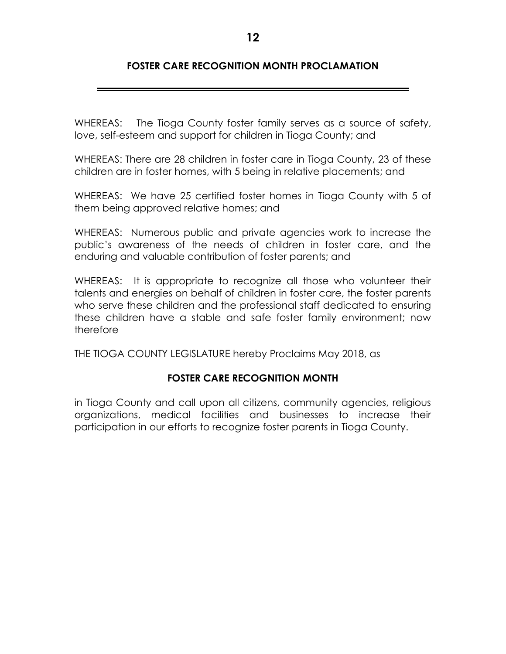# **FOSTER CARE RECOGNITION MONTH PROCLAMATION**

WHEREAS: The Tioga County foster family serves as a source of safety, love, self-esteem and support for children in Tioga County; and

WHEREAS: There are 28 children in foster care in Tioga County, 23 of these children are in foster homes, with 5 being in relative placements; and

WHEREAS: We have 25 certified foster homes in Tioga County with 5 of them being approved relative homes; and

WHEREAS: Numerous public and private agencies work to increase the public's awareness of the needs of children in foster care, and the enduring and valuable contribution of foster parents; and

WHEREAS: It is appropriate to recognize all those who volunteer their talents and energies on behalf of children in foster care, the foster parents who serve these children and the professional staff dedicated to ensuring these children have a stable and safe foster family environment; now therefore

THE TIOGA COUNTY LEGISLATURE hereby Proclaims May 2018, as

# **FOSTER CARE RECOGNITION MONTH**

in Tioga County and call upon all citizens, community agencies, religious organizations, medical facilities and businesses to increase their participation in our efforts to recognize foster parents in Tioga County.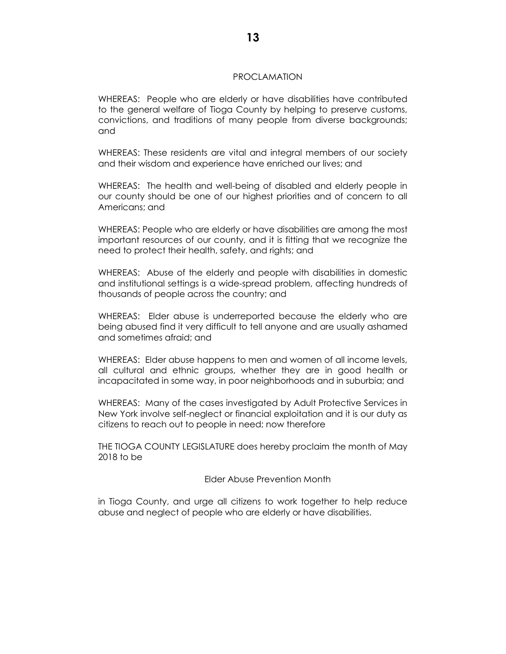#### PROCLAMATION

WHEREAS: People who are elderly or have disabilities have contributed to the general welfare of Tioga County by helping to preserve customs, convictions, and traditions of many people from diverse backgrounds; and

WHEREAS: These residents are vital and integral members of our society and their wisdom and experience have enriched our lives; and

WHEREAS: The health and well-being of disabled and elderly people in our county should be one of our highest priorities and of concern to all Americans; and

WHEREAS: People who are elderly or have disabilities are among the most important resources of our county, and it is fitting that we recognize the need to protect their health, safety, and rights; and

WHEREAS: Abuse of the elderly and people with disabilities in domestic and institutional settings is a wide-spread problem, affecting hundreds of thousands of people across the country; and

WHEREAS: Elder abuse is underreported because the elderly who are being abused find it very difficult to tell anyone and are usually ashamed and sometimes afraid; and

WHEREAS: Elder abuse happens to men and women of all income levels, all cultural and ethnic groups, whether they are in good health or incapacitated in some way, in poor neighborhoods and in suburbia; and

WHEREAS: Many of the cases investigated by Adult Protective Services in New York involve self-neglect or financial exploitation and it is our duty as citizens to reach out to people in need; now therefore

THE TIOGA COUNTY LEGISLATURE does hereby proclaim the month of May 2018 to be

Elder Abuse Prevention Month

in Tioga County, and urge all citizens to work together to help reduce abuse and neglect of people who are elderly or have disabilities.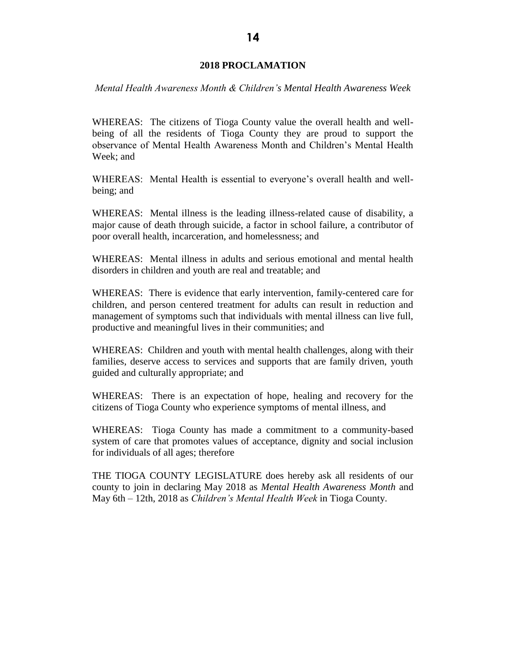### **2018 PROCLAMATION**

*Mental Health Awareness Month & Children's Mental Health Awareness Week* 

WHEREAS: The citizens of Tioga County value the overall health and wellbeing of all the residents of Tioga County they are proud to support the observance of Mental Health Awareness Month and Children's Mental Health Week; and

WHEREAS: Mental Health is essential to everyone's overall health and wellbeing; and

WHEREAS: Mental illness is the leading illness-related cause of disability, a major cause of death through suicide, a factor in school failure, a contributor of poor overall health, incarceration, and homelessness; and

WHEREAS: Mental illness in adults and serious emotional and mental health disorders in children and youth are real and treatable; and

WHEREAS: There is evidence that early intervention, family-centered care for children, and person centered treatment for adults can result in reduction and management of symptoms such that individuals with mental illness can live full, productive and meaningful lives in their communities; and

WHEREAS: Children and youth with mental health challenges, along with their families, deserve access to services and supports that are family driven, youth guided and culturally appropriate; and

WHEREAS: There is an expectation of hope, healing and recovery for the citizens of Tioga County who experience symptoms of mental illness, and

WHEREAS: Tioga County has made a commitment to a community-based system of care that promotes values of acceptance, dignity and social inclusion for individuals of all ages; therefore

THE TIOGA COUNTY LEGISLATURE does hereby ask all residents of our county to join in declaring May 2018 as *Mental Health Awareness Month* and May 6th – 12th, 2018 as *Children's Mental Health Week* in Tioga County.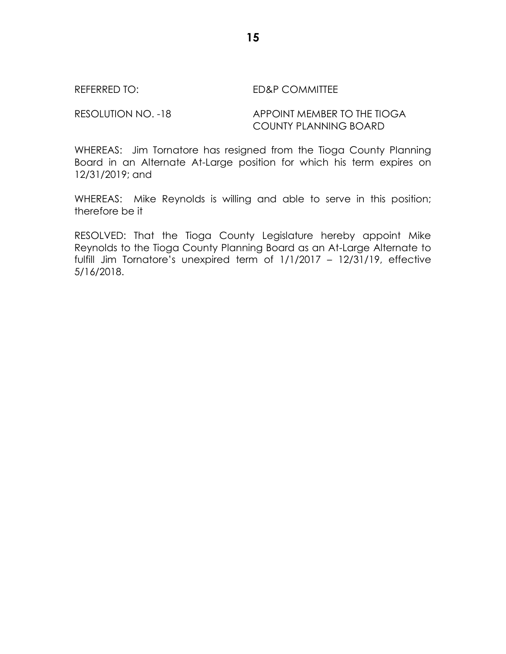REFERRED TO: ED&P COMMITTEE

# RESOLUTION NO. -18 APPOINT MEMBER TO THE TIOGA COUNTY PLANNING BOARD

WHEREAS: Jim Tornatore has resigned from the Tioga County Planning Board in an Alternate At-Large position for which his term expires on 12/31/2019; and

WHEREAS: Mike Reynolds is willing and able to serve in this position; therefore be it

RESOLVED: That the Tioga County Legislature hereby appoint Mike Reynolds to the Tioga County Planning Board as an At-Large Alternate to fulfill Jim Tornatore's unexpired term of 1/1/2017 – 12/31/19, effective 5/16/2018.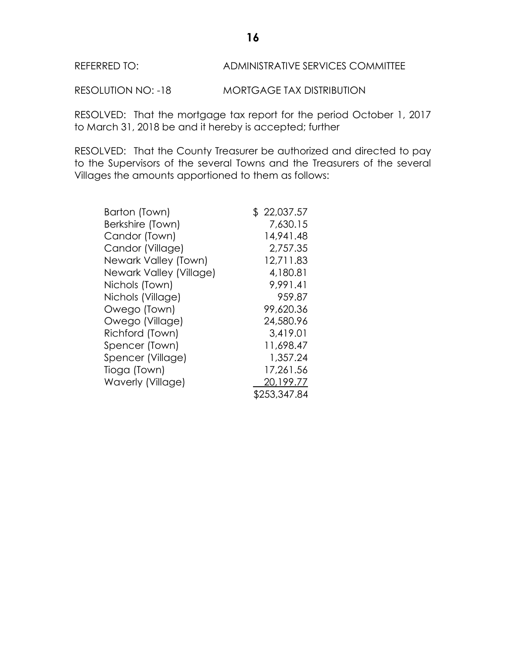# REFERRED TO: ADMINISTRATIVE SERVICES COMMITTEE

RESOLUTION NO: -18 MORTGAGE TAX DISTRIBUTION

RESOLVED: That the mortgage tax report for the period October 1, 2017 to March 31, 2018 be and it hereby is accepted; further

RESOLVED: That the County Treasurer be authorized and directed to pay to the Supervisors of the several Towns and the Treasurers of the several Villages the amounts apportioned to them as follows:

| Barton (Town)           | \$22,037.57  |
|-------------------------|--------------|
| Berkshire (Town)        | 7,630.15     |
| Candor (Town)           | 14,941.48    |
| Candor (Village)        | 2,757.35     |
| Newark Valley (Town)    | 12,711.83    |
| Newark Valley (Village) | 4,180.81     |
| Nichols (Town)          | 9,991.41     |
| Nichols (Village)       | 959.87       |
| Owego (Town)            | 99,620.36    |
| Owego (Village)         | 24,580.96    |
| Richford (Town)         | 3,419.01     |
| Spencer (Town)          | 11,698.47    |
| Spencer (Village)       | 1,357.24     |
| Tioga (Town)            | 17,261.56    |
| Waverly (Village)       | 20,199.77    |
|                         | \$253,347.84 |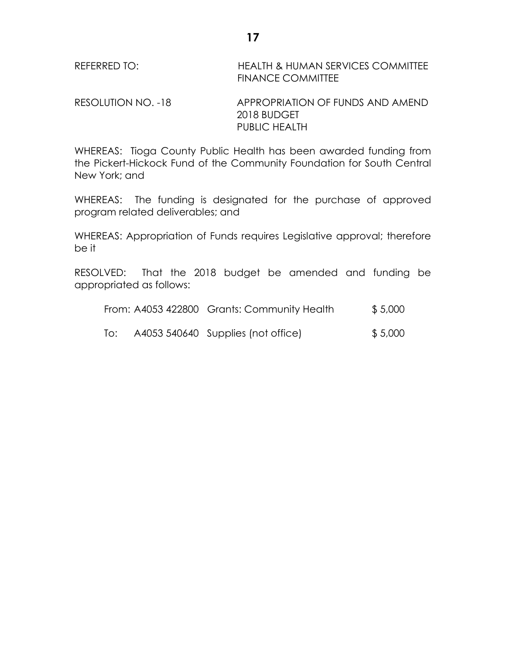| REFERRED TO: | <b>HEALTH &amp; HUMAN SERVICES COMMITTEE</b> |
|--------------|----------------------------------------------|
|              | <b>FINANCE COMMITTEE</b>                     |

RESOLUTION NO. -18 APPROPRIATION OF FUNDS AND AMEND 2018 BUDGET PUBLIC HEALTH

WHEREAS: Tioga County Public Health has been awarded funding from the Pickert-Hickock Fund of the Community Foundation for South Central New York; and

WHEREAS: The funding is designated for the purchase of approved program related deliverables; and

WHEREAS: Appropriation of Funds requires Legislative approval; therefore be it

RESOLVED: That the 2018 budget be amended and funding be appropriated as follows:

|     | From: A4053 422800 Grants: Community Health | \$5,000 |
|-----|---------------------------------------------|---------|
| To: | A4053 540640 Supplies (not office)          | \$5,000 |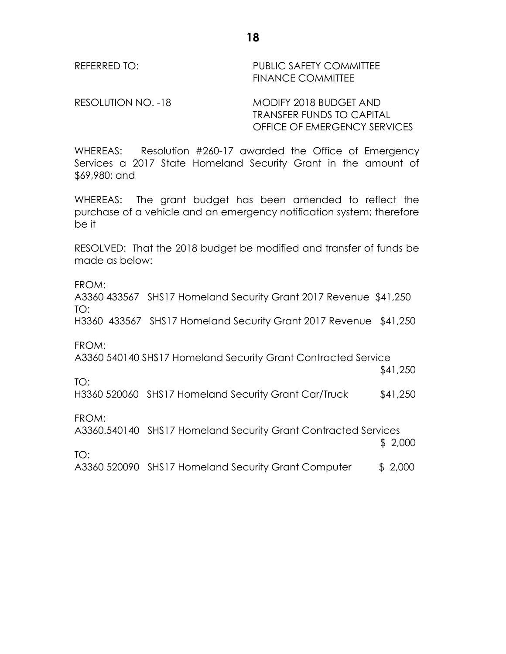REFERRED TO: PUBLIC SAFETY COMMITTEE FINANCE COMMITTEE

RESOLUTION NO. -18 MODIFY 2018 BUDGET AND TRANSFER FUNDS TO CAPITAL OFFICE OF EMERGENCY SERVICES

WHEREAS: Resolution #260-17 awarded the Office of Emergency Services a 2017 State Homeland Security Grant in the amount of \$69,980; and

WHEREAS: The grant budget has been amended to reflect the purchase of a vehicle and an emergency notification system; therefore be it

RESOLVED: That the 2018 budget be modified and transfer of funds be made as below:

FROM:

A3360 433567 SHS17 Homeland Security Grant 2017 Revenue \$41,250 TO:

H3360 433567 SHS17 Homeland Security Grant 2017 Revenue \$41,250

FROM:

A3360 540140 SHS17 Homeland Security Grant Contracted Service

TO:

H3360 520060 SHS17 Homeland Security Grant Car/Truck \$41,250

FROM:

TO:

A3360.540140 SHS17 Homeland Security Grant Contracted Services

\$ 2,000

\$41,250

A3360 520090 SHS17 Homeland Security Grant Computer \$ 2,000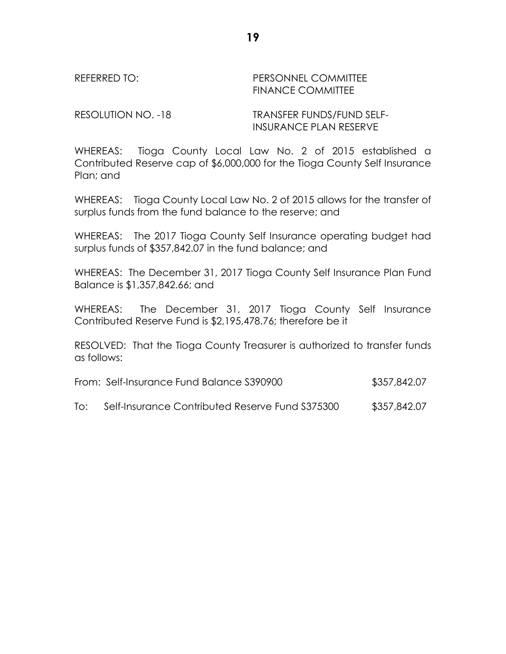REFERRED TO: THE PERSONNEL COMMITTEE FINANCE COMMITTEE

RESOLUTION NO. -18 TRANSFER FUNDS/FUND SELF-INSURANCE PLAN RESERVE

WHEREAS: Tioga County Local Law No. 2 of 2015 established a Contributed Reserve cap of \$6,000,000 for the Tioga County Self Insurance Plan; and

WHEREAS: Tioga County Local Law No. 2 of 2015 allows for the transfer of surplus funds from the fund balance to the reserve; and

WHEREAS: The 2017 Tioga County Self Insurance operating budget had surplus funds of \$357,842.07 in the fund balance; and

WHEREAS: The December 31, 2017 Tioga County Self Insurance Plan Fund Balance is \$1,357,842.66; and

WHEREAS: The December 31, 2017 Tioga County Self Insurance Contributed Reserve Fund is \$2,195,478.76; therefore be it

RESOLVED: That the Tioga County Treasurer is authorized to transfer funds as follows:

| From: Self-Insurance Fund Balance S390900 | \$357,842.07 |
|-------------------------------------------|--------------|
|-------------------------------------------|--------------|

To: Self-Insurance Contributed Reserve Fund S375300 \$357,842.07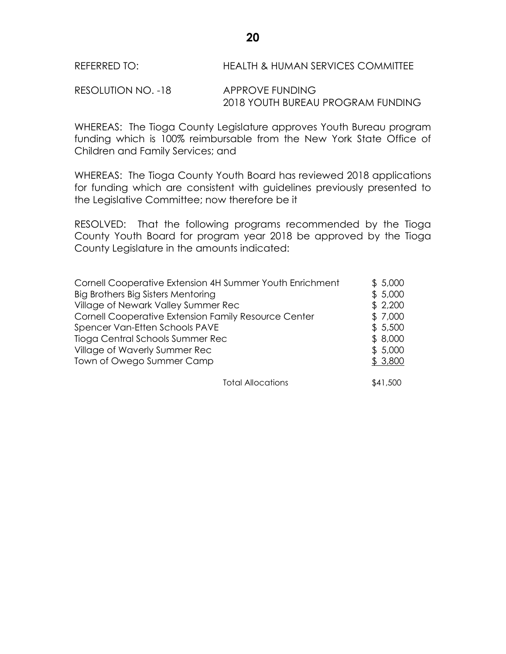RESOLUTION NO. -18 APPROVE FUNDING 2018 YOUTH BUREAU PROGRAM FUNDING

WHEREAS: The Tioga County Legislature approves Youth Bureau program funding which is 100% reimbursable from the New York State Office of Children and Family Services; and

WHEREAS: The Tioga County Youth Board has reviewed 2018 applications for funding which are consistent with guidelines previously presented to the Legislative Committee; now therefore be it

RESOLVED: That the following programs recommended by the Tioga County Youth Board for program year 2018 be approved by the Tioga County Legislature in the amounts indicated:

| Cornell Cooperative Extension 4H Summer Youth Enrichment | \$5,000 |
|----------------------------------------------------------|---------|
| Big Brothers Big Sisters Mentoring                       | \$5,000 |
| Village of Newark Valley Summer Rec                      | \$2,200 |
| Cornell Cooperative Extension Family Resource Center     | \$7,000 |
| Spencer Van-Etten Schools PAVE                           | \$5,500 |
| Tioga Central Schools Summer Rec                         | \$8,000 |
| Village of Waverly Summer Rec                            | \$5,000 |
| Town of Owego Summer Camp                                | \$3,800 |
|                                                          |         |

Total Allocations  $$41,500$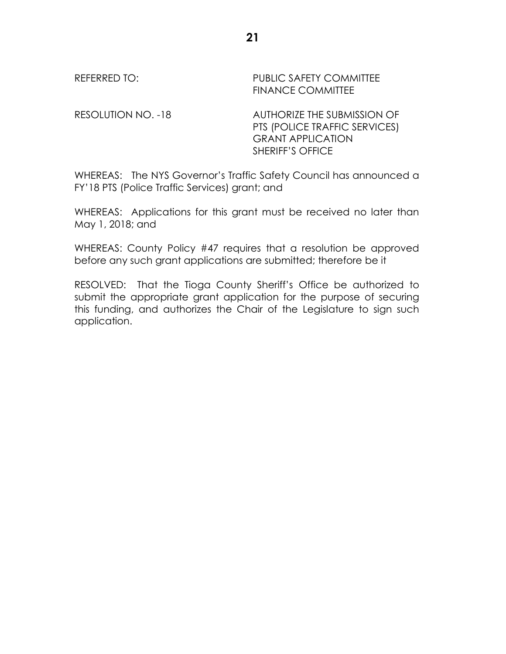REFERRED TO: PUBLIC SAFETY COMMITTEE FINANCE COMMITTEE

RESOLUTION NO. -18 AUTHORIZE THE SUBMISSION OF PTS (POLICE TRAFFIC SERVICES) GRANT APPLICATION SHERIFF'S OFFICE

WHEREAS: The NYS Governor's Traffic Safety Council has announced a FY'18 PTS (Police Traffic Services) grant; and

WHEREAS: Applications for this grant must be received no later than May 1, 2018; and

WHEREAS: County Policy #47 requires that a resolution be approved before any such grant applications are submitted; therefore be it

RESOLVED: That the Tioga County Sheriff's Office be authorized to submit the appropriate grant application for the purpose of securing this funding, and authorizes the Chair of the Legislature to sign such application.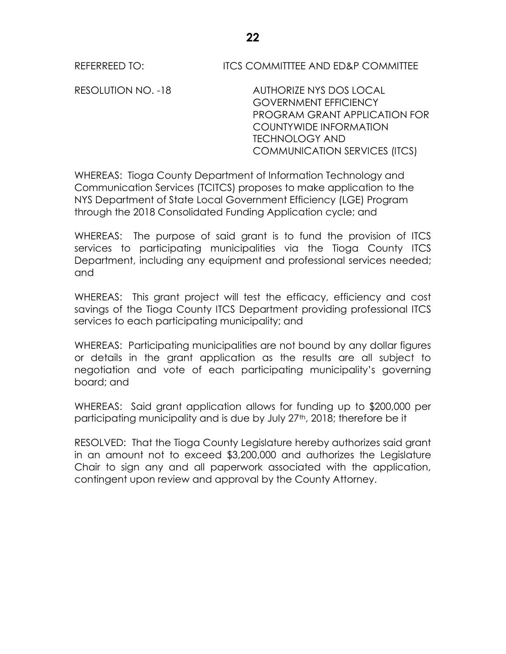REFERREED TO: ITCS COMMITTTEE AND ED&P COMMITTEE

RESOLUTION NO. -18 AUTHORIZE NYS DOS LOCAL GOVERNMENT EFFICIENCY PROGRAM GRANT APPLICATION FOR COUNTYWIDE INFORMATION TECHNOLOGY AND COMMUNICATION SERVICES (ITCS)

WHEREAS: Tioga County Department of Information Technology and Communication Services (TCITCS) proposes to make application to the NYS Department of State Local Government Efficiency (LGE) Program through the 2018 Consolidated Funding Application cycle; and

WHEREAS: The purpose of said grant is to fund the provision of ITCS services to participating municipalities via the Tioga County ITCS Department, including any equipment and professional services needed; and

WHEREAS: This grant project will test the efficacy, efficiency and cost savings of the Tioga County ITCS Department providing professional ITCS services to each participating municipality; and

WHEREAS: Participating municipalities are not bound by any dollar figures or details in the grant application as the results are all subject to negotiation and vote of each participating municipality's governing board; and

WHEREAS: Said grant application allows for funding up to \$200,000 per participating municipality and is due by July 27<sup>th</sup>, 2018; therefore be it

RESOLVED: That the Tioga County Legislature hereby authorizes said grant in an amount not to exceed \$3,200,000 and authorizes the Legislature Chair to sign any and all paperwork associated with the application, contingent upon review and approval by the County Attorney.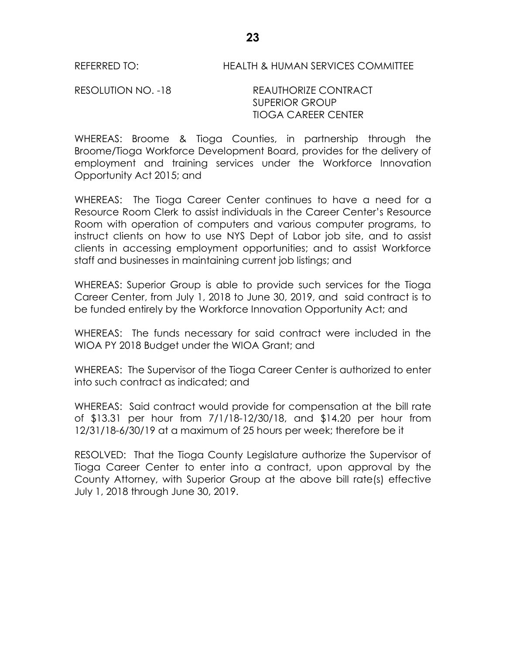# REFERRED TO: HEALTH & HUMAN SERVICES COMMITTEE

RESOLUTION NO. -18 REAUTHORIZE CONTRACT SUPERIOR GROUP TIOGA CAREER CENTER

WHEREAS: Broome & Tioga Counties, in partnership through the Broome/Tioga Workforce Development Board, provides for the delivery of employment and training services under the Workforce Innovation Opportunity Act 2015; and

WHEREAS: The Tioga Career Center continues to have a need for a Resource Room Clerk to assist individuals in the Career Center's Resource Room with operation of computers and various computer programs, to instruct clients on how to use NYS Dept of Labor job site, and to assist clients in accessing employment opportunities; and to assist Workforce staff and businesses in maintaining current job listings; and

WHEREAS: Superior Group is able to provide such services for the Tioga Career Center, from July 1, 2018 to June 30, 2019, and said contract is to be funded entirely by the Workforce Innovation Opportunity Act; and

WHEREAS: The funds necessary for said contract were included in the WIOA PY 2018 Budget under the WIOA Grant; and

WHEREAS: The Supervisor of the Tioga Career Center is authorized to enter into such contract as indicated; and

WHEREAS: Said contract would provide for compensation at the bill rate of \$13.31 per hour from 7/1/18-12/30/18, and \$14.20 per hour from 12/31/18-6/30/19 at a maximum of 25 hours per week; therefore be it

RESOLVED: That the Tioga County Legislature authorize the Supervisor of Tioga Career Center to enter into a contract, upon approval by the County Attorney, with Superior Group at the above bill rate(s) effective July 1, 2018 through June 30, 2019.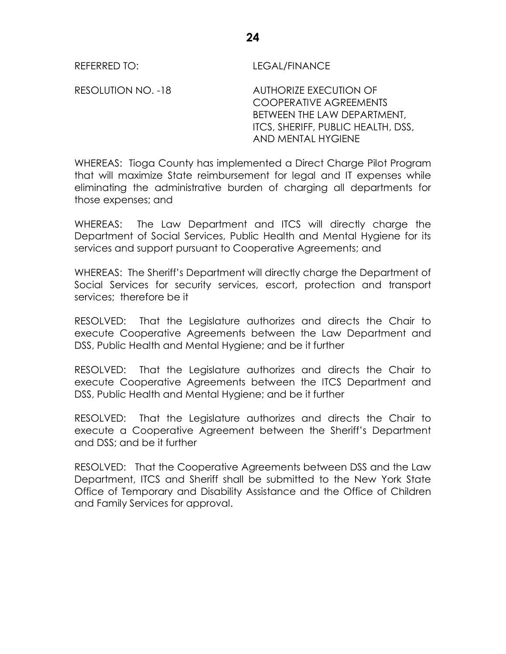REFERRED TO: LEGAL/FINANCE

RESOLUTION NO. -18 AUTHORIZE EXECUTION OF COOPERATIVE AGREEMENTS BETWEEN THE LAW DEPARTMENT, ITCS, SHERIFF, PUBLIC HEALTH, DSS, AND MENTAL HYGIENE

WHEREAS: Tioga County has implemented a Direct Charge Pilot Program that will maximize State reimbursement for legal and IT expenses while eliminating the administrative burden of charging all departments for those expenses; and

WHEREAS: The Law Department and ITCS will directly charge the Department of Social Services, Public Health and Mental Hygiene for its services and support pursuant to Cooperative Agreements; and

WHEREAS: The Sheriff's Department will directly charge the Department of Social Services for security services, escort, protection and transport services; therefore be it

RESOLVED: That the Legislature authorizes and directs the Chair to execute Cooperative Agreements between the Law Department and DSS, Public Health and Mental Hygiene; and be it further

RESOLVED: That the Legislature authorizes and directs the Chair to execute Cooperative Agreements between the ITCS Department and DSS, Public Health and Mental Hygiene; and be it further

RESOLVED: That the Legislature authorizes and directs the Chair to execute a Cooperative Agreement between the Sheriff's Department and DSS; and be it further

RESOLVED: That the Cooperative Agreements between DSS and the Law Department, ITCS and Sheriff shall be submitted to the New York State Office of Temporary and Disability Assistance and the Office of Children and Family Services for approval.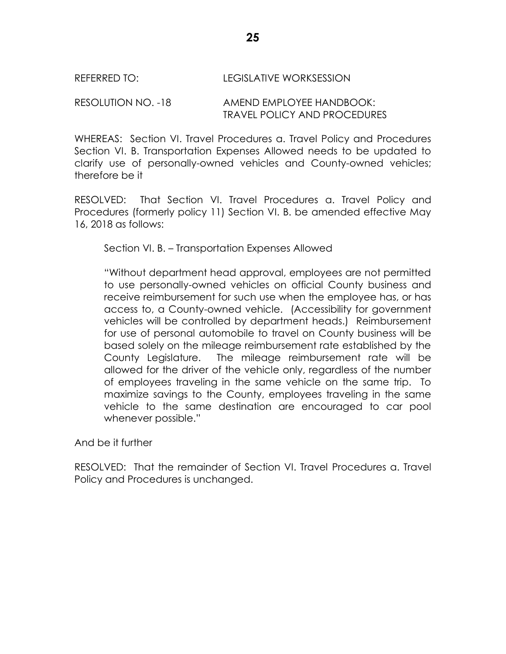# REFERRED TO: LEGISLATIVE WORKSESSION

# RESOLUTION NO. -18 AMEND EMPLOYEE HANDBOOK: TRAVEL POLICY AND PROCEDURES

WHEREAS: Section VI. Travel Procedures a. Travel Policy and Procedures Section VI. B. Transportation Expenses Allowed needs to be updated to clarify use of personally-owned vehicles and County-owned vehicles; therefore be it

RESOLVED: That Section VI. Travel Procedures a. Travel Policy and Procedures (formerly policy 11) Section VI. B. be amended effective May 16, 2018 as follows:

Section VI. B. – Transportation Expenses Allowed

"Without department head approval, employees are not permitted to use personally-owned vehicles on official County business and receive reimbursement for such use when the employee has, or has access to, a County-owned vehicle. (Accessibility for government vehicles will be controlled by department heads.) Reimbursement for use of personal automobile to travel on County business will be based solely on the mileage reimbursement rate established by the County Legislature. The mileage reimbursement rate will be allowed for the driver of the vehicle only, regardless of the number of employees traveling in the same vehicle on the same trip. To maximize savings to the County, employees traveling in the same vehicle to the same destination are encouraged to car pool whenever possible."

And be it further

RESOLVED: That the remainder of Section VI. Travel Procedures a. Travel Policy and Procedures is unchanged.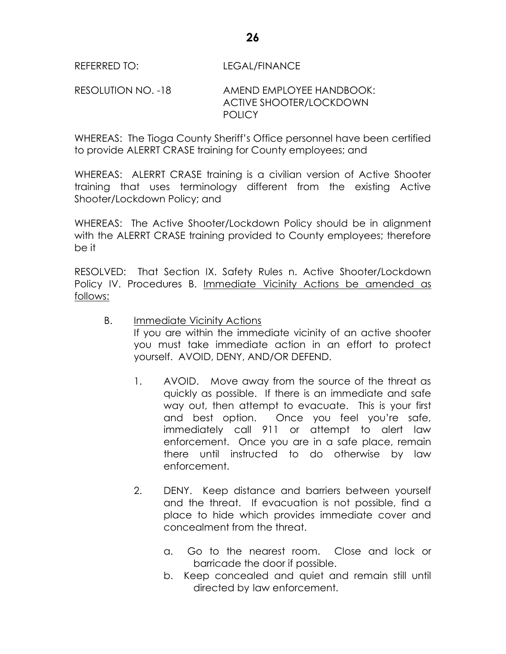# RESOLUTION NO. -18 AMEND EMPLOYEE HANDBOOK: ACTIVE SHOOTER/LOCKDOWN **POLICY**

WHEREAS: The Tioga County Sheriff's Office personnel have been certified to provide ALERRT CRASE training for County employees; and

WHEREAS: ALERRT CRASE training is a civilian version of Active Shooter training that uses terminology different from the existing Active Shooter/Lockdown Policy; and

WHEREAS: The Active Shooter/Lockdown Policy should be in alignment with the ALERRT CRASE training provided to County employees; therefore be it

RESOLVED: That Section IX. Safety Rules n. Active Shooter/Lockdown Policy IV. Procedures B. Immediate Vicinity Actions be amended as follows:

- B. Immediate Vicinity Actions If you are within the immediate vicinity of an active shooter you must take immediate action in an effort to protect yourself. AVOID, DENY, AND/OR DEFEND.
	- 1. AVOID. Move away from the source of the threat as quickly as possible. If there is an immediate and safe way out, then attempt to evacuate. This is your first and best option. Once you feel you're safe, immediately call 911 or attempt to alert law enforcement. Once you are in a safe place, remain there until instructed to do otherwise by law enforcement.
	- 2. DENY. Keep distance and barriers between yourself and the threat. If evacuation is not possible, find a place to hide which provides immediate cover and concealment from the threat.
		- a. Go to the nearest room. Close and lock or barricade the door if possible.
		- b. Keep concealed and quiet and remain still until directed by law enforcement.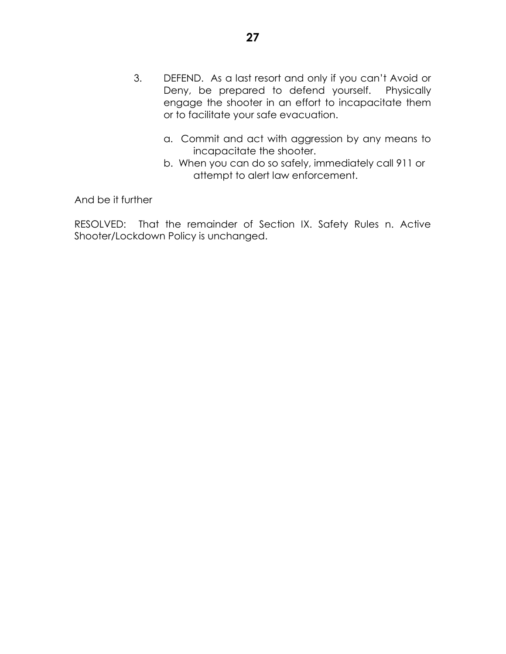- 3. DEFEND. As a last resort and only if you can't Avoid or Deny, be prepared to defend yourself. Physically engage the shooter in an effort to incapacitate them or to facilitate your safe evacuation.
	- a. Commit and act with aggression by any means to incapacitate the shooter.
	- b. When you can do so safely, immediately call 911 or attempt to alert law enforcement.

And be it further

RESOLVED: That the remainder of Section IX. Safety Rules n. Active Shooter/Lockdown Policy is unchanged.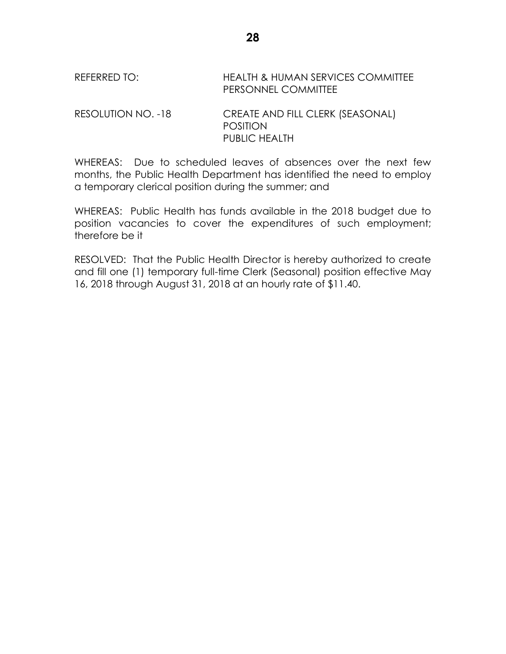# REFERRED TO: HEALTH & HUMAN SERVICES COMMITTEE PERSONNEL COMMITTEE

RESOLUTION NO. -18 CREATE AND FILL CLERK (SEASONAL) POSITION PUBLIC HEALTH

WHEREAS: Due to scheduled leaves of absences over the next few months, the Public Health Department has identified the need to employ a temporary clerical position during the summer; and

WHEREAS: Public Health has funds available in the 2018 budget due to position vacancies to cover the expenditures of such employment; therefore be it

RESOLVED: That the Public Health Director is hereby authorized to create and fill one (1) temporary full-time Clerk (Seasonal) position effective May 16, 2018 through August 31, 2018 at an hourly rate of \$11.40.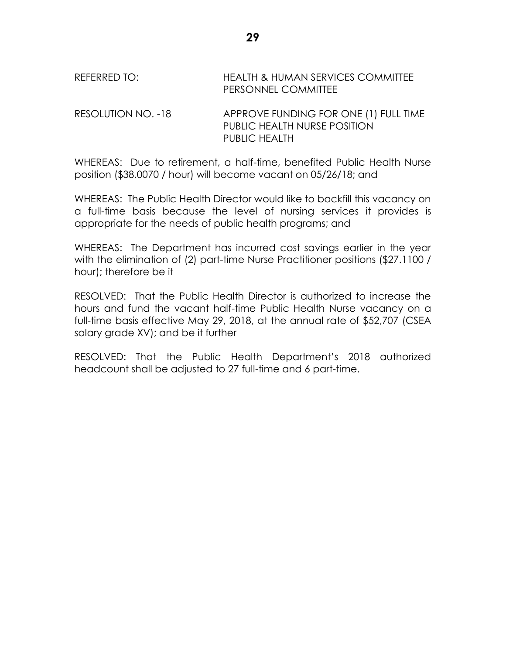# REFERRED TO: HEALTH & HUMAN SERVICES COMMITTEE PERSONNEL COMMITTEE

RESOLUTION NO. -18 APPROVE FUNDING FOR ONE (1) FULL TIME PUBLIC HEALTH NURSE POSITION PUBLIC HEALTH

WHEREAS: Due to retirement, a half-time, benefited Public Health Nurse position (\$38.0070 / hour) will become vacant on 05/26/18; and

WHEREAS: The Public Health Director would like to backfill this vacancy on a full-time basis because the level of nursing services it provides is appropriate for the needs of public health programs; and

WHEREAS: The Department has incurred cost savings earlier in the year with the elimination of (2) part-time Nurse Practitioner positions (\$27.1100 / hour); therefore be it

RESOLVED: That the Public Health Director is authorized to increase the hours and fund the vacant half-time Public Health Nurse vacancy on a full-time basis effective May 29, 2018, at the annual rate of \$52,707 (CSEA salary grade XV); and be it further

RESOLVED: That the Public Health Department's 2018 authorized headcount shall be adjusted to 27 full-time and 6 part-time.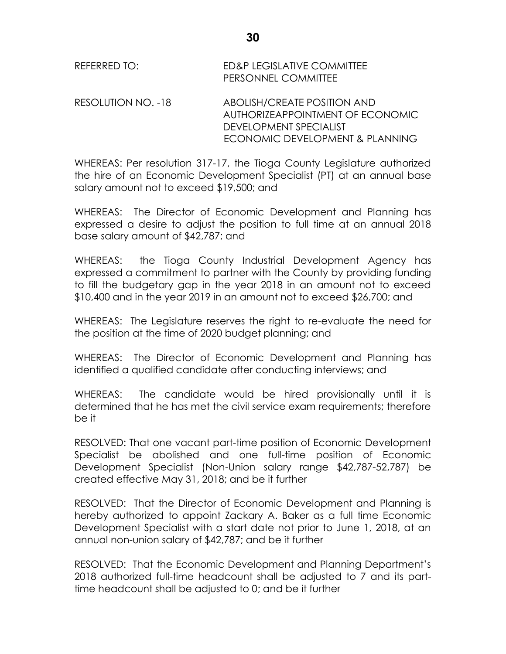| REFERRED TO:       | ED&P LEGISLATIVE COMMITTEE<br>PERSONNEL COMMITTEE               |
|--------------------|-----------------------------------------------------------------|
| RESOLUTION NO. -18 | ABOLISH/CREATE POSITION AND<br>AUTHORIZEAPPOINTMENT OF ECONOMIC |

WHEREAS: Per resolution 317-17, the Tioga County Legislature authorized the hire of an Economic Development Specialist (PT) at an annual base salary amount not to exceed \$19,500; and

DEVELOPMENT SPECIALIST

ECONOMIC DEVELOPMENT & PLANNING

WHEREAS: The Director of Economic Development and Planning has expressed a desire to adjust the position to full time at an annual 2018 base salary amount of \$42,787; and

WHEREAS: the Tioga County Industrial Development Agency has expressed a commitment to partner with the County by providing funding to fill the budgetary gap in the year 2018 in an amount not to exceed \$10,400 and in the year 2019 in an amount not to exceed \$26,700; and

WHEREAS: The Legislature reserves the right to re-evaluate the need for the position at the time of 2020 budget planning; and

WHEREAS: The Director of Economic Development and Planning has identified a qualified candidate after conducting interviews; and

WHEREAS: The candidate would be hired provisionally until it is determined that he has met the civil service exam requirements; therefore be it

RESOLVED: That one vacant part-time position of Economic Development Specialist be abolished and one full-time position of Economic Development Specialist (Non-Union salary range \$42,787-52,787) be created effective May 31, 2018; and be it further

RESOLVED: That the Director of Economic Development and Planning is hereby authorized to appoint Zackary A. Baker as a full time Economic Development Specialist with a start date not prior to June 1, 2018, at an annual non-union salary of \$42,787; and be it further

RESOLVED: That the Economic Development and Planning Department's 2018 authorized full-time headcount shall be adjusted to 7 and its parttime headcount shall be adjusted to 0; and be it further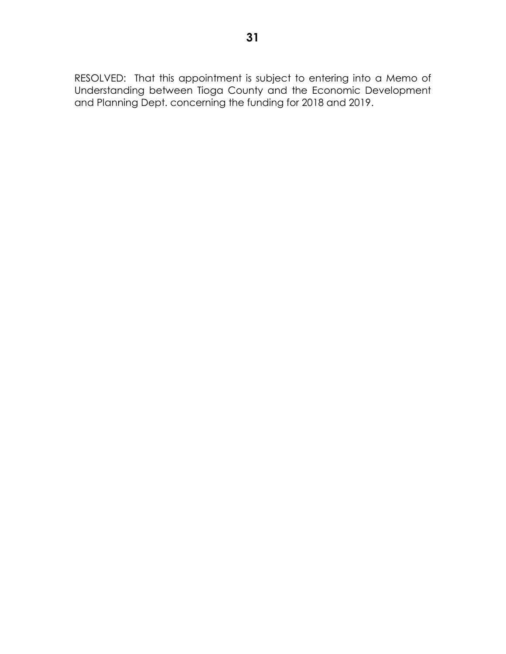RESOLVED: That this appointment is subject to entering into a Memo of Understanding between Tioga County and the Economic Development and Planning Dept. concerning the funding for 2018 and 2019.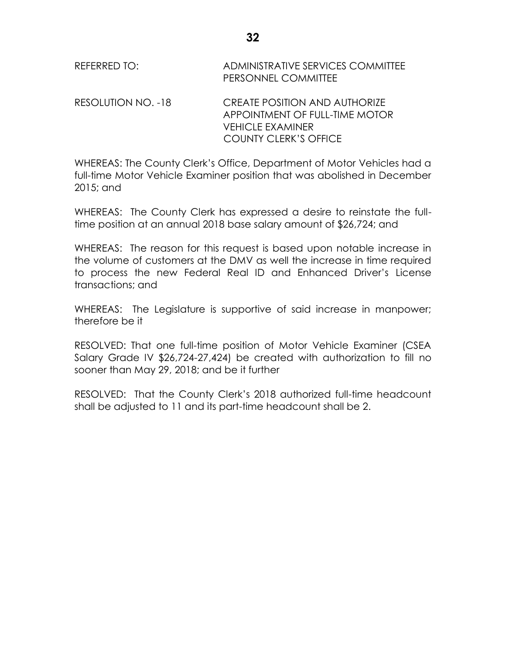REFERRED TO: ADMINISTRATIVE SERVICES COMMITTEE PERSONNEL COMMITTEE RESOLUTION NO. -18 CREATE POSITION AND AUTHORIZE APPOINTMENT OF FULL-TIME MOTOR

> VEHICLE EXAMINER COUNTY CLERK'S OFFICE

WHEREAS: The County Clerk's Office, Department of Motor Vehicles had a full-time Motor Vehicle Examiner position that was abolished in December 2015; and

WHEREAS: The County Clerk has expressed a desire to reinstate the fulltime position at an annual 2018 base salary amount of \$26,724; and

WHEREAS: The reason for this request is based upon notable increase in the volume of customers at the DMV as well the increase in time required to process the new Federal Real ID and Enhanced Driver's License transactions; and

WHEREAS: The Legislature is supportive of said increase in manpower; therefore be it

RESOLVED: That one full-time position of Motor Vehicle Examiner (CSEA Salary Grade IV \$26,724-27,424) be created with authorization to fill no sooner than May 29, 2018; and be it further

RESOLVED: That the County Clerk's 2018 authorized full-time headcount shall be adjusted to 11 and its part-time headcount shall be 2.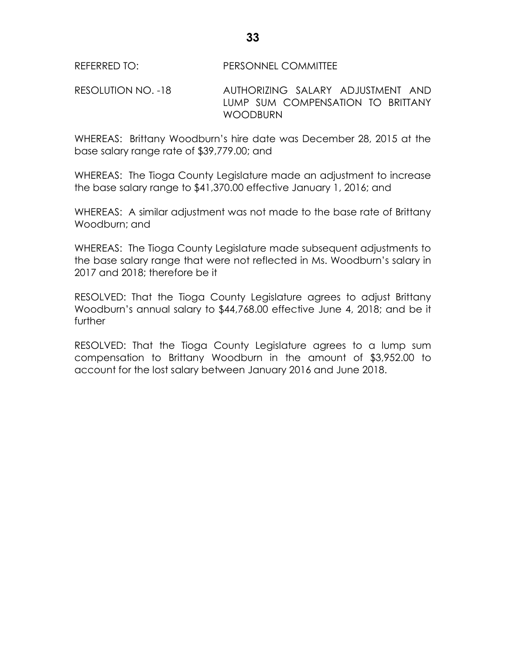RESOLUTION NO. -18 AUTHORIZING SALARY ADJUSTMENT AND LUMP SUM COMPENSATION TO BRITTANY WOODBURN

WHEREAS: Brittany Woodburn's hire date was December 28, 2015 at the base salary range rate of \$39,779.00; and

WHEREAS: The Tioga County Legislature made an adjustment to increase the base salary range to \$41,370.00 effective January 1, 2016; and

WHEREAS: A similar adjustment was not made to the base rate of Brittany Woodburn; and

WHEREAS: The Tioga County Legislature made subsequent adjustments to the base salary range that were not reflected in Ms. Woodburn's salary in 2017 and 2018; therefore be it

RESOLVED: That the Tioga County Legislature agrees to adjust Brittany Woodburn's annual salary to \$44,768.00 effective June 4, 2018; and be it further

RESOLVED: That the Tioga County Legislature agrees to a lump sum compensation to Brittany Woodburn in the amount of \$3,952.00 to account for the lost salary between January 2016 and June 2018.